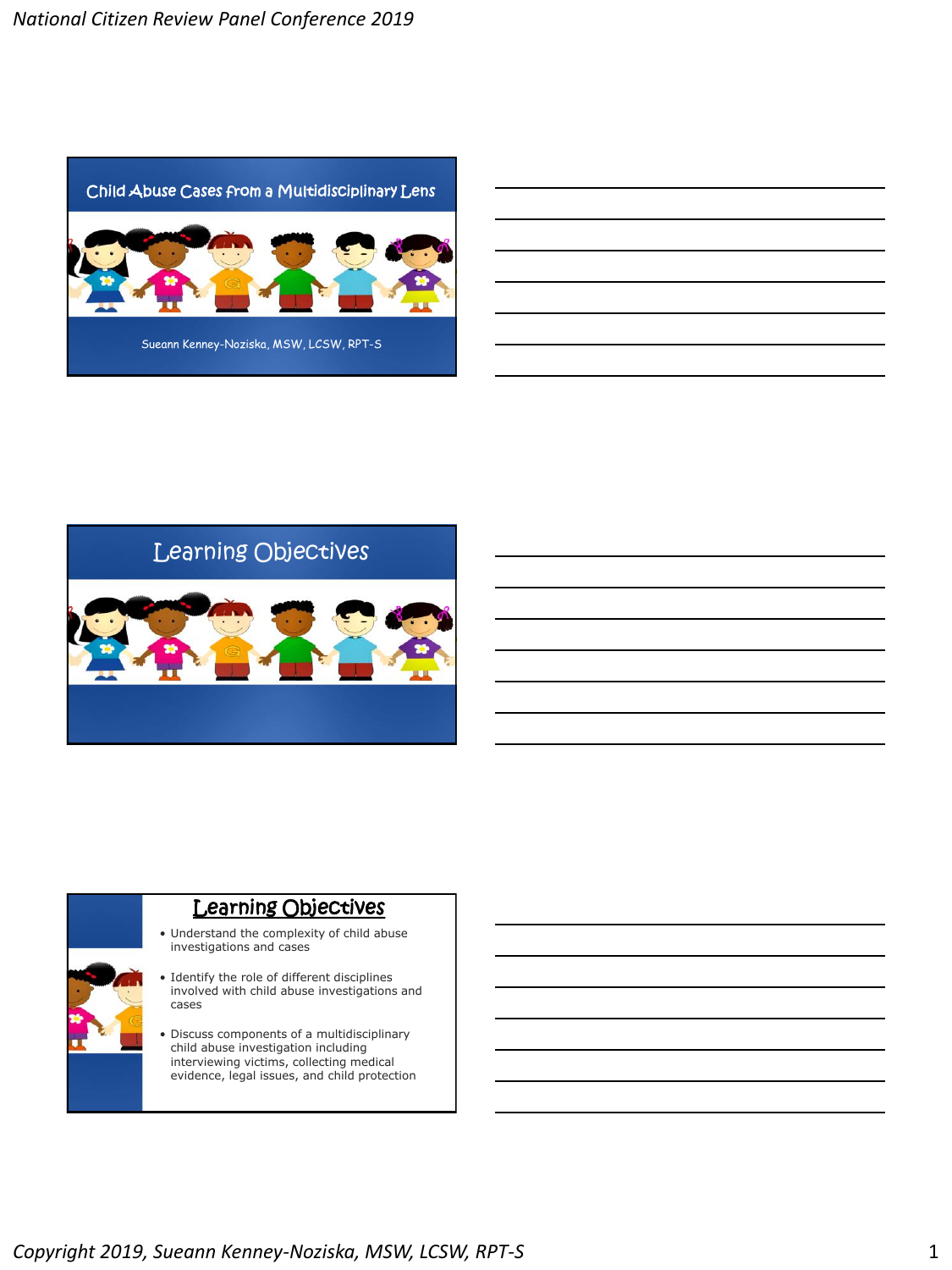



# Learning Objectives

- Understand the complexity of child abuse investigations and cases
- Identify the role of different disciplines involved with child abuse investigations and cases
- Discuss components of a multidisciplinary child abuse investigation including interviewing victims, collecting medical evidence, legal issues, and child protection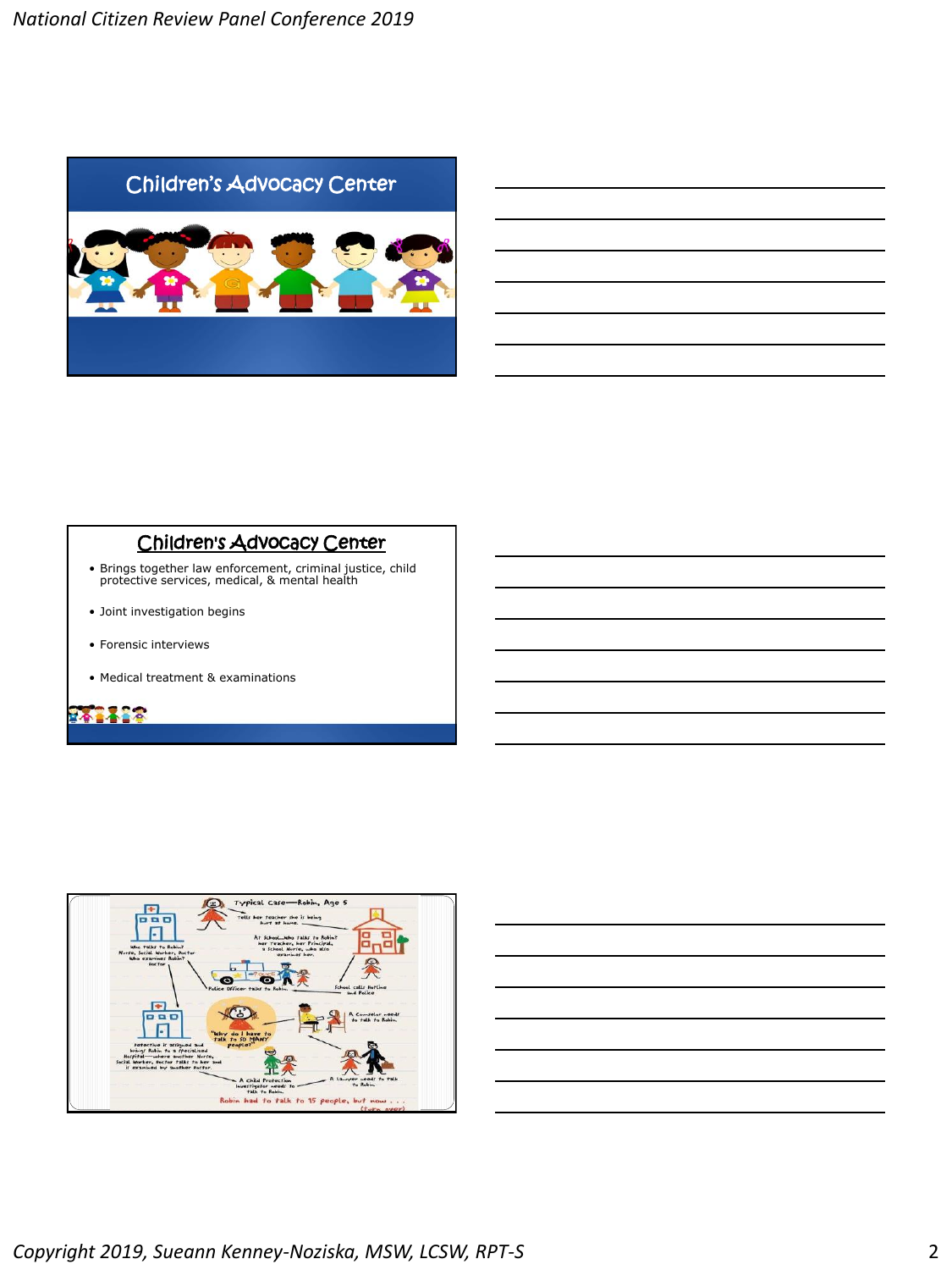

#### Children's Advocacy Center

- Brings together law enforcement, criminal justice, child protective services, medical, & mental health
- Joint investigation begins
- Forensic interviews
- Medical treatment & examinations

# **PARA 18**



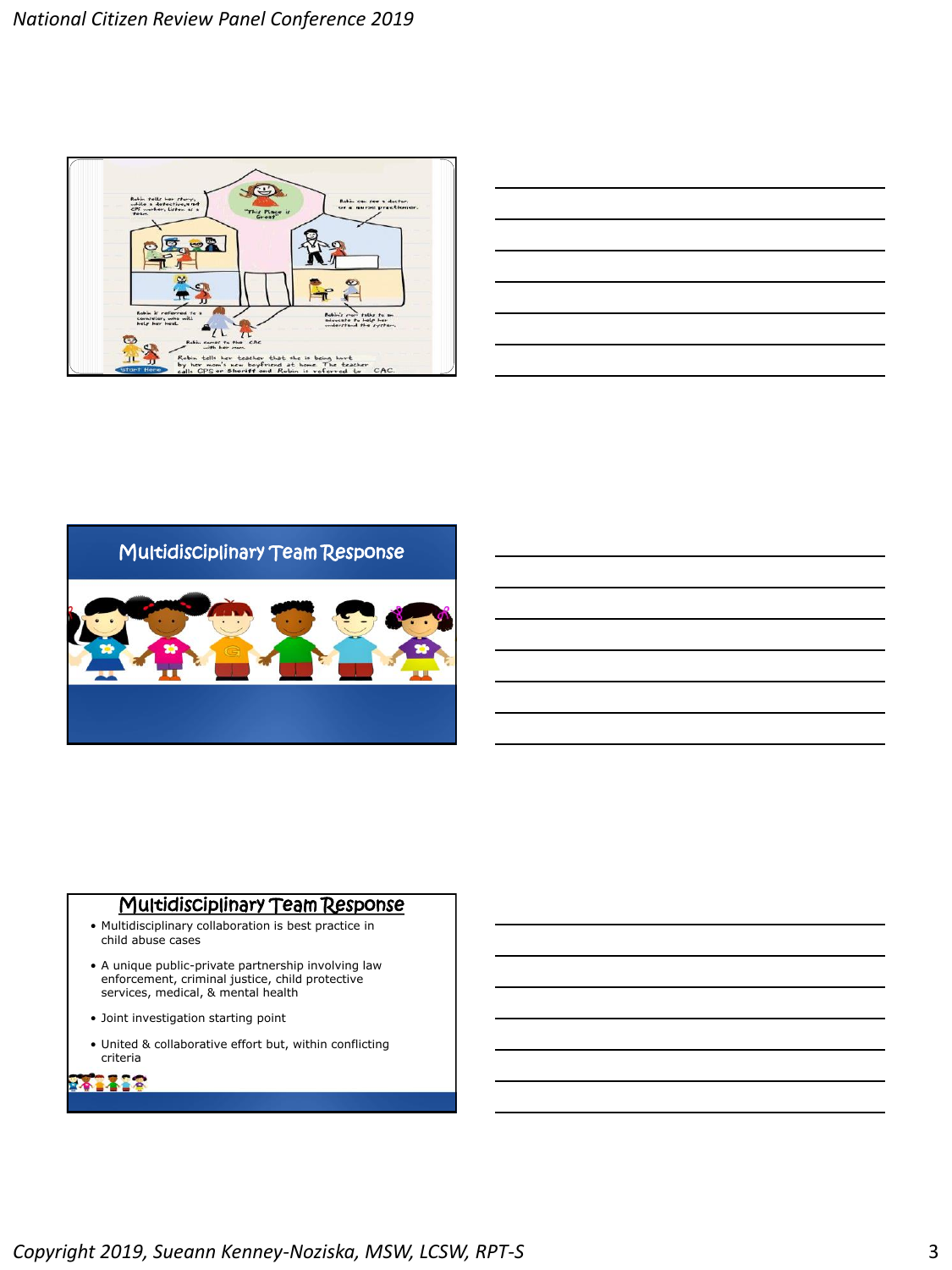

| <u> 1989 - Johann Stoff, amerikansk politiker (d. 1989)</u> |  |  |  |
|-------------------------------------------------------------|--|--|--|
|                                                             |  |  |  |
|                                                             |  |  |  |
|                                                             |  |  |  |
|                                                             |  |  |  |
|                                                             |  |  |  |
|                                                             |  |  |  |



### Multidisciplinary Team Response

- Multidisciplinary collaboration is best practice in child abuse cases
- A unique public-private partnership involving law enforcement, criminal justice, child protective services, medical, & mental health
- Joint investigation starting point
- United & collaborative effort but, within conflicting criteria

### **PARADO**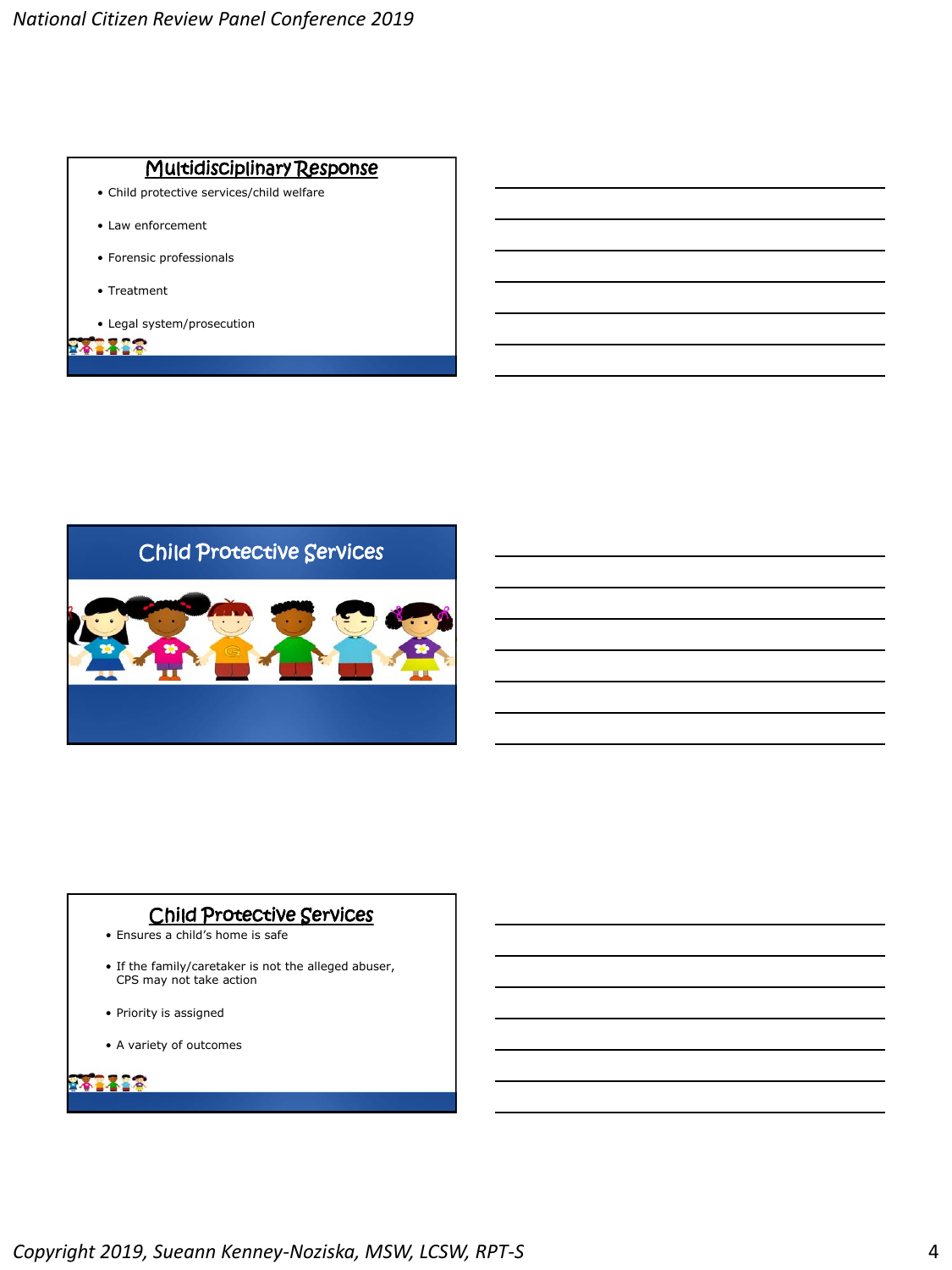



### Child Protective Services

- Ensures a child's home is safe
- If the family/caretaker is not the alleged abuser, CPS may not take action
- Priority is assigned
- A variety of outcomes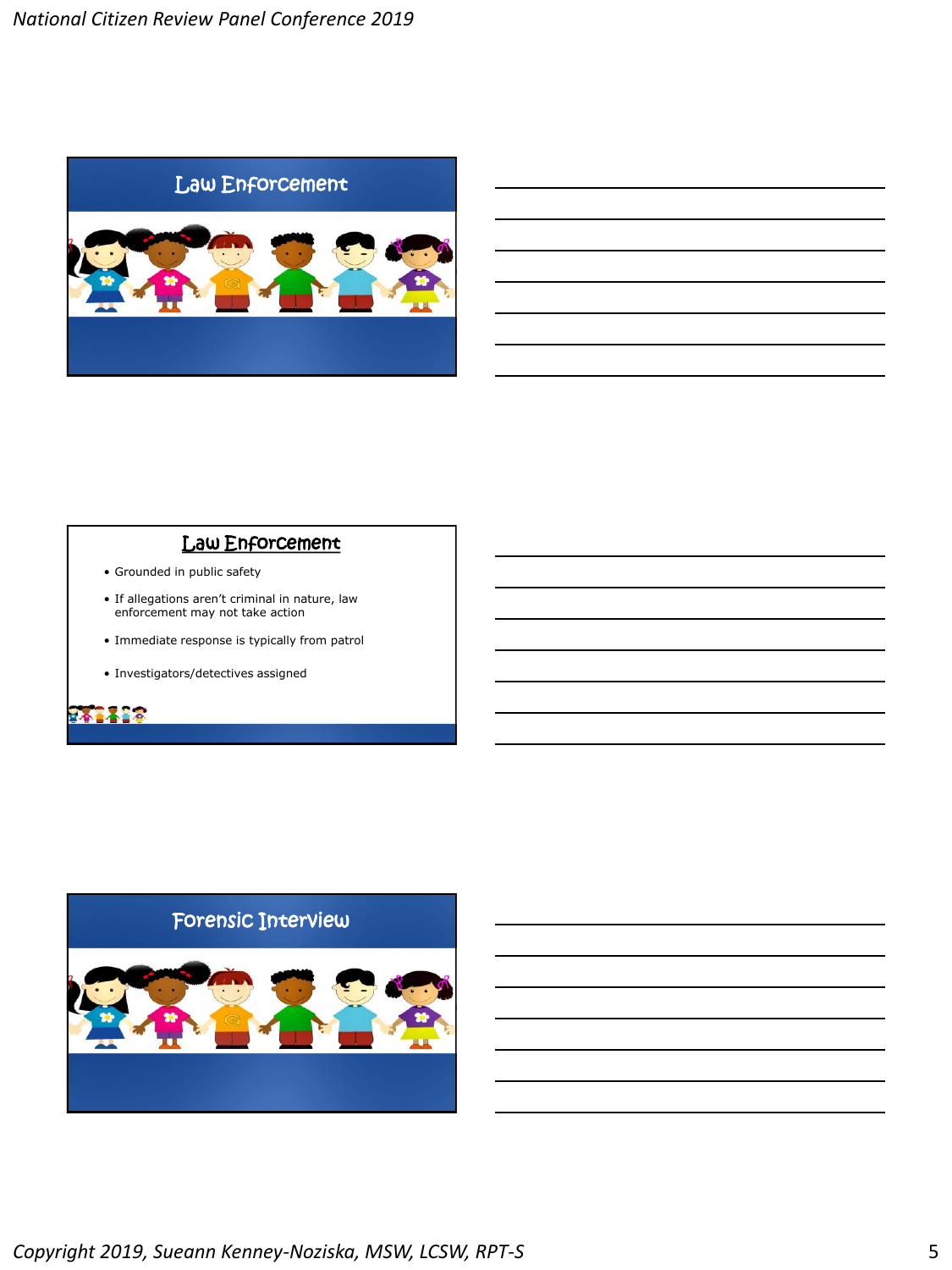

#### Law Enforcement

- Grounded in public safety
- If allegations aren't criminal in nature, law enforcement may not take action
- Immediate response is typically from patrol
- Investigators/detectives assigned

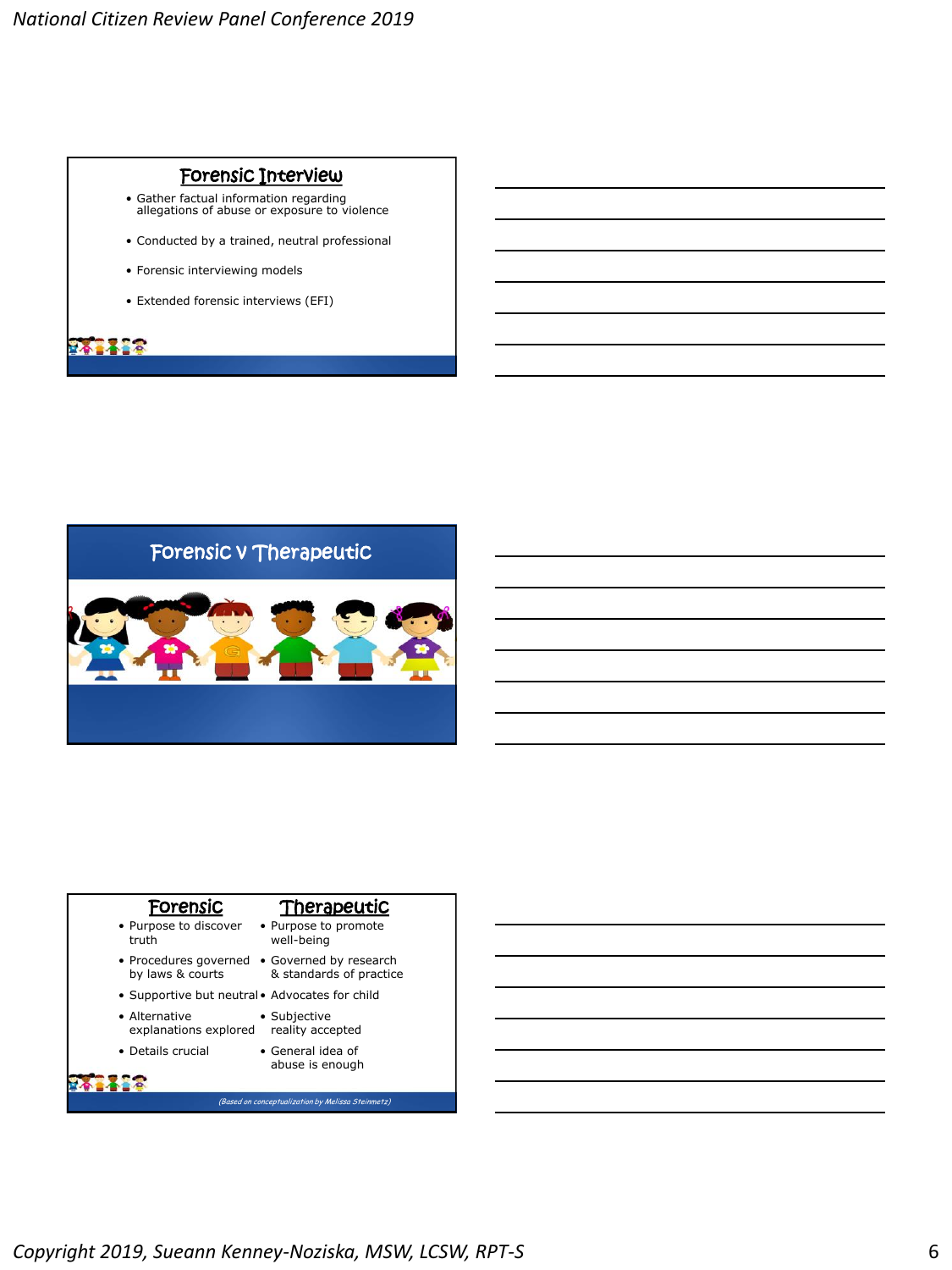#### Forensic Interview

- Gather factual information regarding allegations of abuse or exposure to violence
- Conducted by a trained, neutral professional
- Forensic interviewing models
- Extended forensic interviews (EFI)





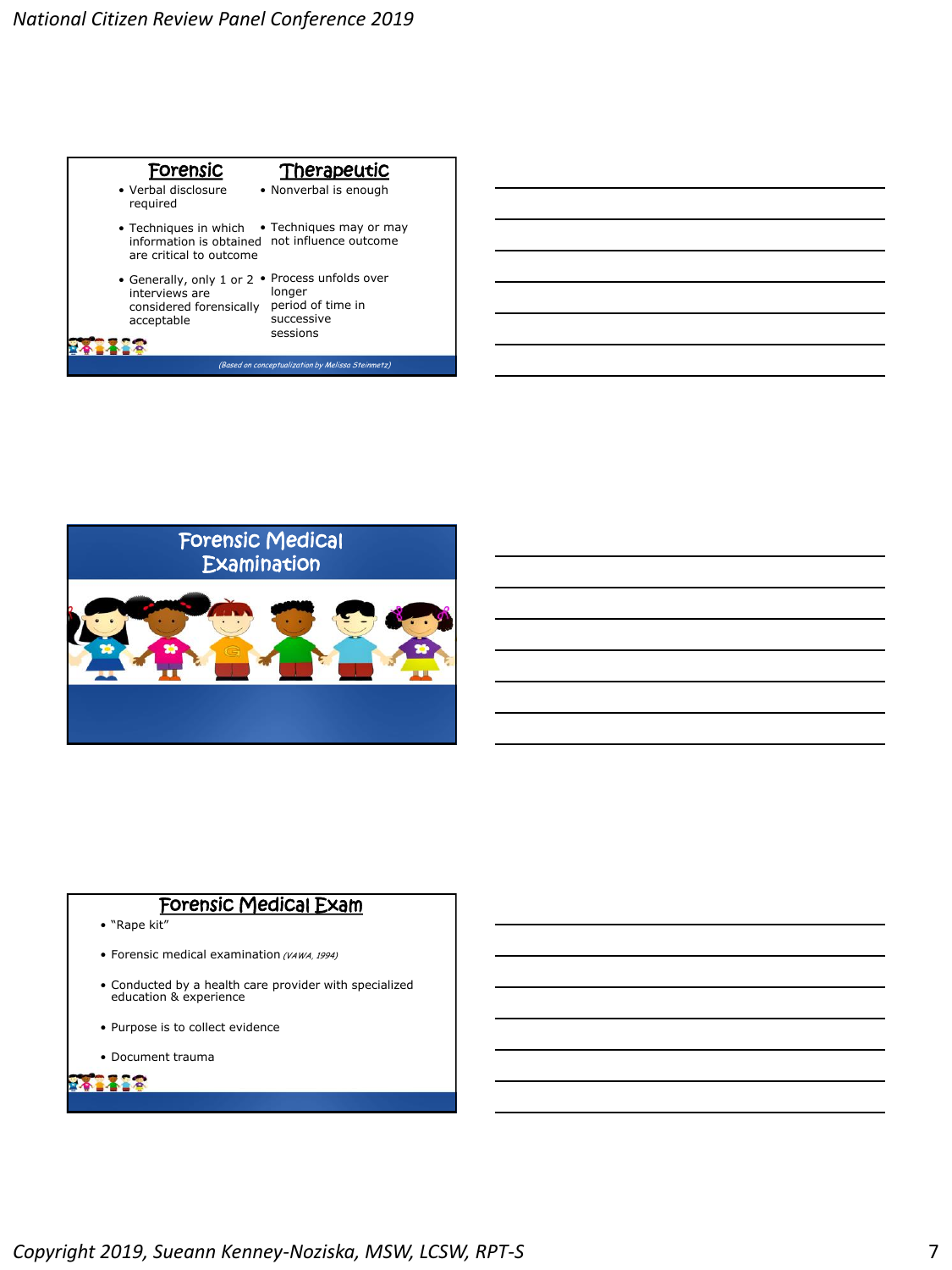



## Forensic Medical Exam

- "Rape kit"
- Forensic medical examination (VAWA, 1994)
- Conducted by a health care provider with specialized education & experience
- Purpose is to collect evidence
- Document trauma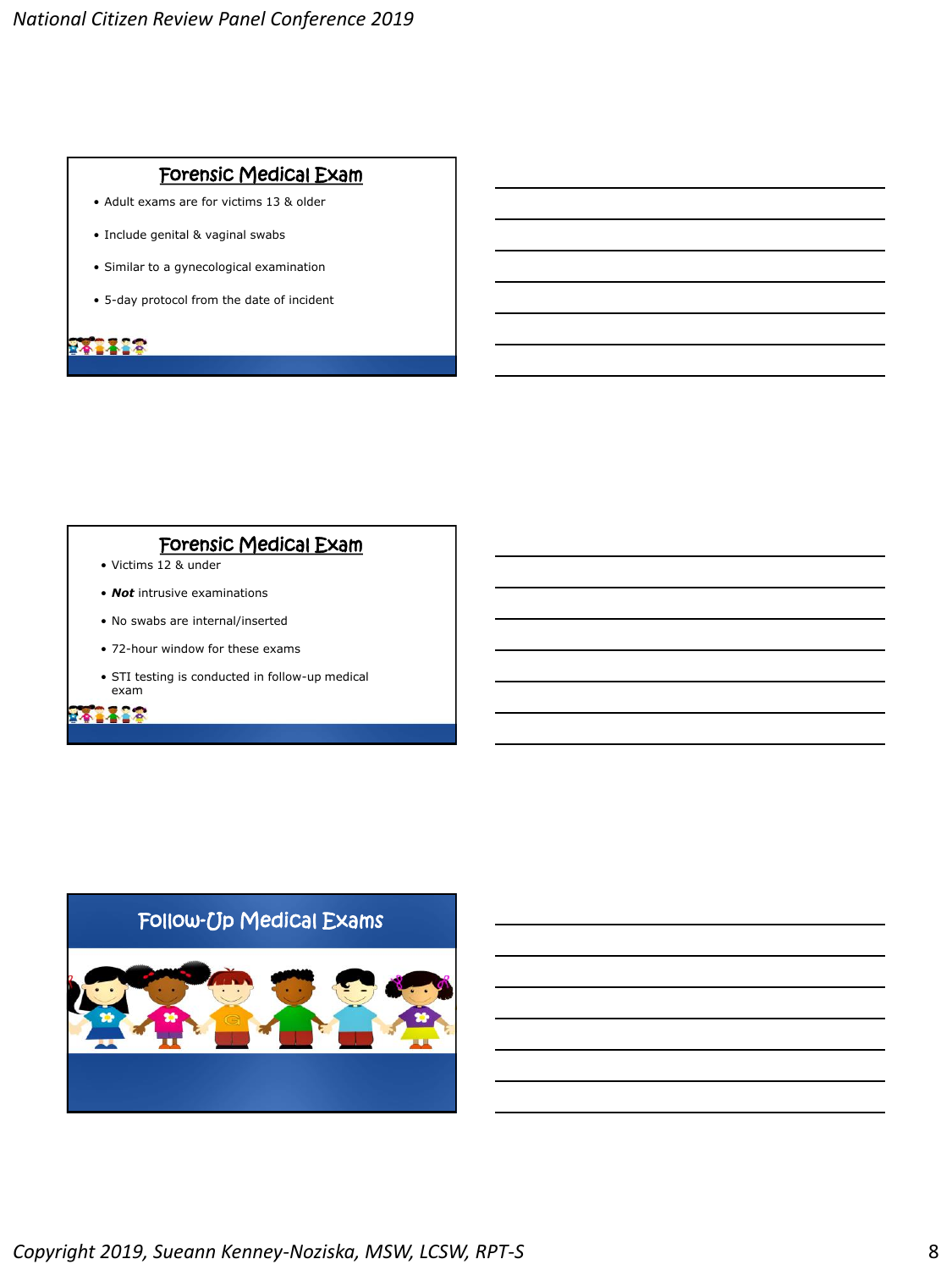### Forensic Medical Exam

- Adult exams are for victims 13 & older
- Include genital & vaginal swabs
- Similar to a gynecological examination
- 5-day protocol from the date of incident

242428

# Forensic Medical Exam

- Victims 12 & under
- *Not* intrusive examinations
- No swabs are internal/inserted
- 72-hour window for these exams
- STI testing is conducted in follow-up medical exam

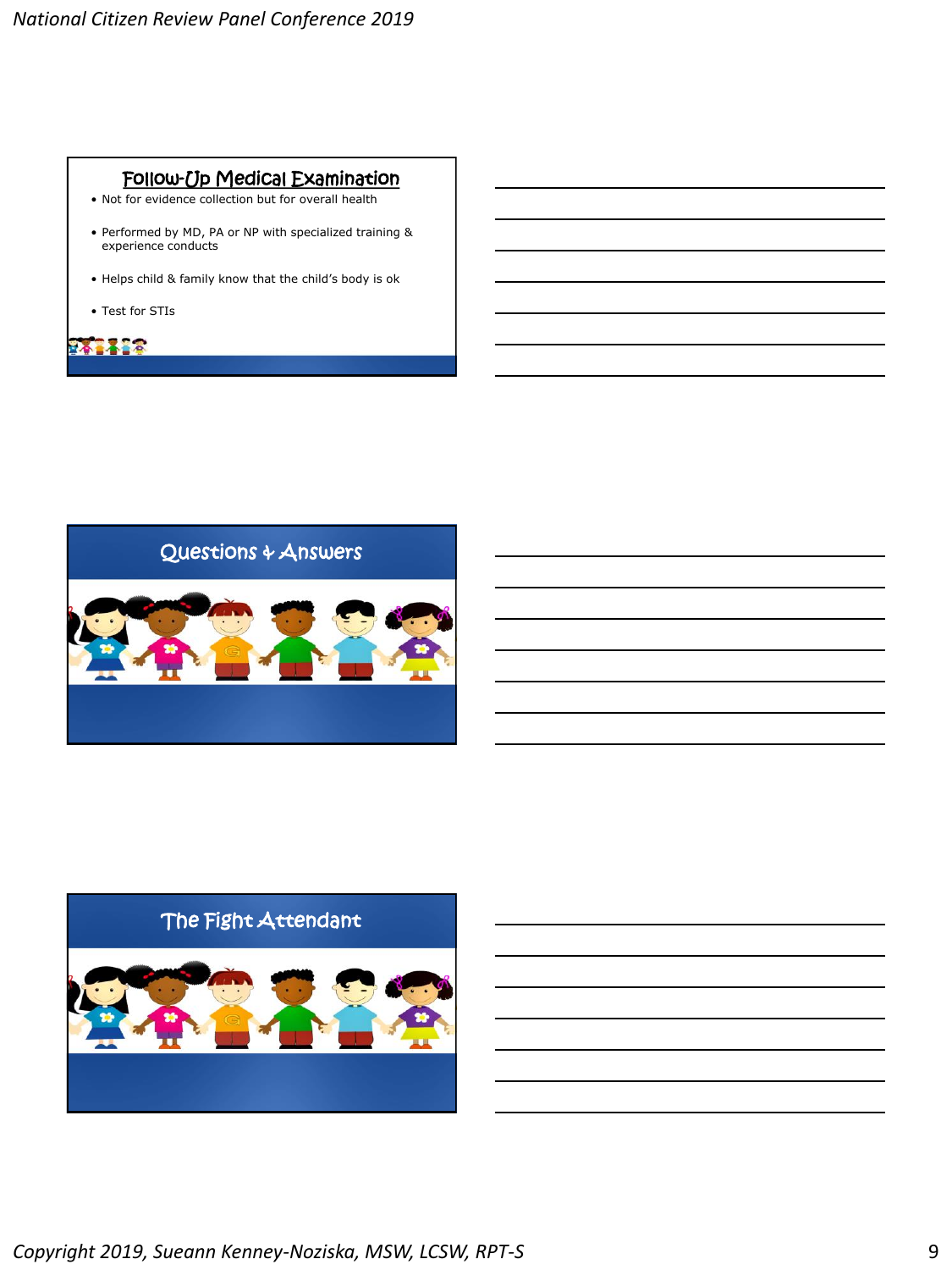## Follow-Up Medical Examination

- Not for evidence collection but for overall health
- Performed by MD, PA or NP with specialized training & experience conducts
- Helps child & family know that the child's body is ok
- Test for STIs